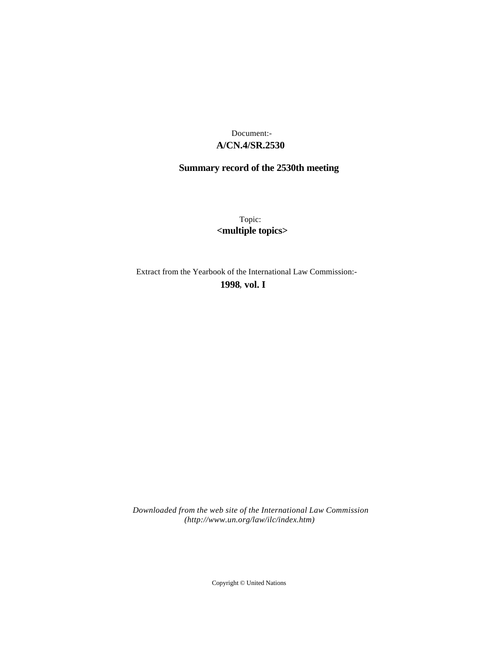# **A/CN.4/SR.2530** Document:-

# **Summary record of the 2530th meeting**

Topic: **<multiple topics>**

Extract from the Yearbook of the International Law Commission:-

**1998** , **vol. I**

*Downloaded from the web site of the International Law Commission (http://www.un.org/law/ilc/index.htm)*

Copyright © United Nations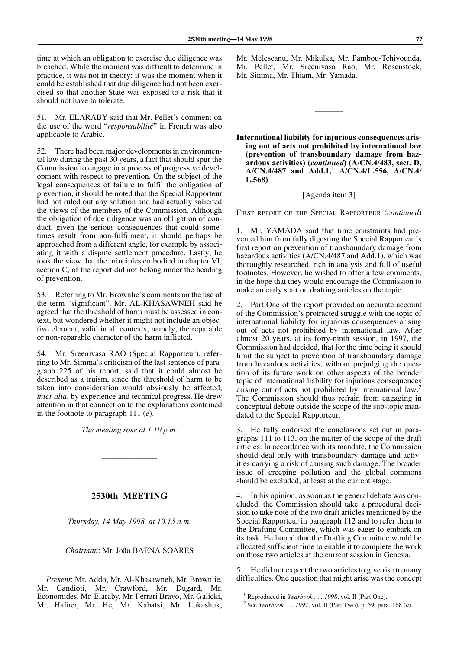time at which an obligation to exercise due diligence was breached. While the moment was difficult to determine in practice, it was not in theory: it was the moment when it could be established that due diligence had not been exercised so that another State was exposed to a risk that it should not have to tolerate.

51. Mr. ELARABY said that Mr. Pellet's comment on the use of the word "*responsabilité*" in French was also applicable to Arabic.

52. There had been major developments in environmental law during the past 30 years, a fact that should spur the Commission to engage in a process of progressive development with respect to prevention. On the subject of the legal consequences of failure to fulfil the obligation of prevention, it should be noted that the Special Rapporteur had not ruled out any solution and had actually solicited the views of the members of the Commission. Although the obligation of due diligence was an obligation of conduct, given the serious consequences that could sometimes result from non-fulfilment, it should perhaps be approached from a different angle, for example by associating it with a dispute settlement procedure. Lastly, he took the view that the principles embodied in chapter VI, section C, of the report did not belong under the heading of prevention.

53. Referring to Mr. Brownlie's comments on the use of the term "significant", Mr. AL-KHASAWNEH said he agreed that the threshold of harm must be assessed in context, but wondered whether it might not include an objective element, valid in all contexts, namely, the reparable or non-reparable character of the harm inflicted.

54. Mr. Sreenivasa RAO (Special Rapporteur), referring to Mr. Simma's criticism of the last sentence of paragraph 225 of his report, said that it could almost be described as a truism, since the threshold of harm to be taken into consideration would obviously be affected, *inter alia*, by experience and technical progress. He drew attention in that connection to the explanations contained in the footnote to paragraph 111 (*e*).

*The meeting rose at 1.10 p.m.*

—————————

## **2530th MEETING**

*Thursday, 14 May 1998, at 10.15 a.m.*

#### *Chairman*: Mr. João BAENA SOARES

*Present*: Mr. Addo, Mr. Al-Khasawneh, Mr. Brownlie, Mr. Candioti, Mr. Crawford, Mr. Dugard, Mr. Economides, Mr. Elaraby, Mr. Ferrari Bravo, Mr. Galicki, Mr. Hafner, Mr. He, Mr. Kabatsi, Mr. Lukashuk, Mr. Melescanu, Mr. Mikulka, Mr. Pambou-Tchivounda, Mr. Pellet, Mr. Sreenivasa Rao, Mr. Rosenstock, Mr. Simma, Mr. Thiam, Mr. Yamada.

————–

**International liability for injurious consequences arising out of acts not prohibited by international law (prevention of transboundary damage from hazardous activities) (***continued***) (A/CN.4/483, sect. D, A/CN.4/487 and Add.1,<sup>1</sup> A/CN.4/L.556, A/CN.4/ L.568)**

### [Agenda item 3]

FIRST REPORT OF THE SPECIAL RAPPORTEUR (*continued*)

1. Mr. YAMADA said that time constraints had prevented him from fully digesting the Special Rapporteur's first report on prevention of transboundary damage from hazardous activities (A/CN.4/487 and Add.1), which was thoroughly researched, rich in analysis and full of useful footnotes. However, he wished to offer a few comments, in the hope that they would encourage the Commission to make an early start on drafting articles on the topic.

2. Part One of the report provided an accurate account of the Commission's protracted struggle with the topic of international liability for injurious consequences arising out of acts not prohibited by international law. After almost 20 years, at its forty-ninth session, in 1997, the Commission had decided, that for the time being it should limit the subject to prevention of transboundary damage from hazardous activities, without prejudging the question of its future work on other aspects of the broader topic of international liability for injurious consequences arising out of acts not prohibited by international law.<sup>2</sup> The Commission should thus refrain from engaging in conceptual debate outside the scope of the sub-topic mandated to the Special Rapporteur.

3. He fully endorsed the conclusions set out in paragraphs 111 to 113, on the matter of the scope of the draft articles. In accordance with its mandate, the Commission should deal only with transboundary damage and activities carrying a risk of causing such damage. The broader issue of creeping pollution and the global commons should be excluded, at least at the current stage.

4. In his opinion, as soon as the general debate was concluded, the Commission should take a procedural decision to take note of the two draft articles mentioned by the Special Rapporteur in paragraph 112 and to refer them to the Drafting Committee, which was eager to embark on its task. He hoped that the Drafting Committee would be allocated sufficient time to enable it to complete the work on those two articles at the current session in Geneva.

5. He did not expect the two articles to give rise to many difficulties. One question that might arise was the concept

<sup>&</sup>lt;sup>1</sup> Reproduced in *Yearbook . . . 1998*, vol. II (Part One).

<sup>2</sup> See *Yearbook . . . 1997*, vol. II (Part Two), p. 59, para. 168 (*a*).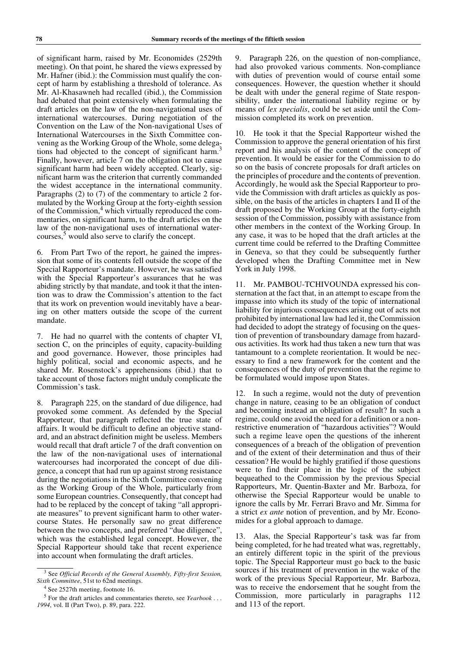of significant harm, raised by Mr. Economides (2529th meeting). On that point, he shared the views expressed by Mr. Hafner (ibid.): the Commission must qualify the concept of harm by establishing a threshold of tolerance. As Mr. Al-Khasawneh had recalled (ibid.), the Commission had debated that point extensively when formulating the draft articles on the law of the non-navigational uses of international watercourses. During negotiation of the Convention on the Law of the Non-navigational Uses of International Watercourses in the Sixth Committee convening as the Working Group of the Whole, some delegations had objected to the concept of significant harm.<sup>3</sup> Finally, however, article 7 on the obligation not to cause significant harm had been widely accepted. Clearly, significant harm was the criterion that currently commanded the widest acceptance in the international community. Paragraphs (2) to (7) of the commentary to article 2 formulated by the Working Group at the forty-eighth session of the Commission,<sup>4</sup> which virtually reproduced the commentaries, on significant harm, to the draft articles on the law of the non-navigational uses of international watercourses,  $5$  would also serve to clarify the concept.

6. From Part Two of the report, he gained the impression that some of its contents fell outside the scope of the Special Rapporteur's mandate. However, he was satisfied with the Special Rapporteur's assurances that he was abiding strictly by that mandate, and took it that the intention was to draw the Commission's attention to the fact that its work on prevention would inevitably have a bearing on other matters outside the scope of the current mandate.

7. He had no quarrel with the contents of chapter VI, section C, on the principles of equity, capacity-building and good governance. However, those principles had highly political, social and economic aspects, and he shared Mr. Rosenstock's apprehensions (ibid.) that to take account of those factors might unduly complicate the Commission's task.

8. Paragraph 225, on the standard of due diligence, had provoked some comment. As defended by the Special Rapporteur, that paragraph reflected the true state of affairs. It would be difficult to define an objective standard, and an abstract definition might be useless. Members would recall that draft article 7 of the draft convention on the law of the non-navigational uses of international watercourses had incorporated the concept of due diligence, a concept that had run up against strong resistance during the negotiations in the Sixth Committee convening as the Working Group of the Whole, particularly from some European countries. Consequently, that concept had had to be replaced by the concept of taking "all appropriate measures" to prevent significant harm to other watercourse States. He personally saw no great difference between the two concepts, and preferred "due diligence", which was the established legal concept. However, the Special Rapporteur should take that recent experience into account when formulating the draft articles.

9. Paragraph 226, on the question of non-compliance, had also provoked various comments. Non-compliance with duties of prevention would of course entail some consequences. However, the question whether it should be dealt with under the general regime of State responsibility, under the international liability regime or by means of *lex specialis*, could be set aside until the Commission completed its work on prevention.

10. He took it that the Special Rapporteur wished the Commission to approve the general orientation of his first report and his analysis of the content of the concept of prevention. It would be easier for the Commission to do so on the basis of concrete proposals for draft articles on the principles of procedure and the contents of prevention. Accordingly, he would ask the Special Rapporteur to provide the Commission with draft articles as quickly as possible, on the basis of the articles in chapters I and II of the draft proposed by the Working Group at the forty-eighth session of the Commission, possibly with assistance from other members in the context of the Working Group. In any case, it was to be hoped that the draft articles at the current time could be referred to the Drafting Committee in Geneva, so that they could be subsequently further developed when the Drafting Committee met in New York in July 1998.

11. Mr. PAMBOU-TCHIVOUNDA expressed his consternation at the fact that, in an attempt to escape from the impasse into which its study of the topic of international liability for injurious consequences arising out of acts not prohibited by international law had led it, the Commission had decided to adopt the strategy of focusing on the question of prevention of transboundary damage from hazardous activities. Its work had thus taken a new turn that was tantamount to a complete reorientation. It would be necessary to find a new framework for the content and the consequences of the duty of prevention that the regime to be formulated would impose upon States.

12. In such a regime, would not the duty of prevention change in nature, ceasing to be an obligation of conduct and becoming instead an obligation of result? In such a regime, could one avoid the need for a definition or a nonrestrictive enumeration of "hazardous activities"? Would such a regime leave open the questions of the inherent consequences of a breach of the obligation of prevention and of the extent of their determination and thus of their cessation? He would be highly gratified if those questions were to find their place in the logic of the subject bequeathed to the Commission by the previous Special Rapporteurs, Mr. Quentin-Baxter and Mr. Barboza, for otherwise the Special Rapporteur would be unable to ignore the calls by Mr. Ferrari Bravo and Mr. Simma for a strict *ex ante* notion of prevention, and by Mr. Economides for a global approach to damage.

13. Alas, the Special Rapporteur's task was far from being completed, for he had treated what was, regrettably, an entirely different topic in the spirit of the previous topic. The Special Rapporteur must go back to the basic sources if his treatment of prevention in the wake of the work of the previous Special Rapporteur, Mr. Barboza, was to receive the endorsement that he sought from the Commission, more particularly in paragraphs 112 and 113 of the report.

<sup>3</sup> See *Official Records of the General Assembly, Fifty-first Session, Sixth Committee*, 51st to 62nd meetings.

<sup>&</sup>lt;sup>4</sup> See 2527th meeting, footnote 16.

<sup>5</sup> For the draft articles and commentaries thereto, see *Yearbook . . . 1994*, vol. II (Part Two), p. 89, para. 222.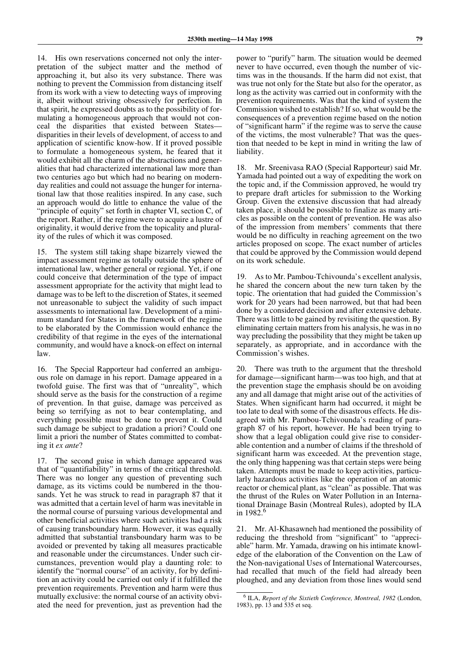14. His own reservations concerned not only the interpretation of the subject matter and the method of approaching it, but also its very substance. There was nothing to prevent the Commission from distancing itself from its work with a view to detecting ways of improving it, albeit without striving obsessively for perfection. In that spirit, he expressed doubts as to the possibility of formulating a homogeneous approach that would not conceal the disparities that existed between States disparities in their levels of development, of access to and application of scientific know-how. If it proved possible to formulate a homogeneous system, he feared that it would exhibit all the charm of the abstractions and generalities that had characterized international law more than two centuries ago but which had no bearing on modernday realities and could not assuage the hunger for international law that those realities inspired. In any case, such an approach would do little to enhance the value of the "principle of equity" set forth in chapter VI, section C, of the report. Rather, if the regime were to acquire a lustre of originality, it would derive from the topicality and plurality of the rules of which it was composed.

15. The system still taking shape bizarrely viewed the impact assessment regime as totally outside the sphere of international law, whether general or regional. Yet, if one could conceive that determination of the type of impact assessment appropriate for the activity that might lead to damage was to be left to the discretion of States, it seemed not unreasonable to subject the validity of such impact assessments to international law. Development of a minimum standard for States in the framework of the regime to be elaborated by the Commission would enhance the credibility of that regime in the eyes of the international community, and would have a knock-on effect on internal law.

16. The Special Rapporteur had conferred an ambiguous role on damage in his report. Damage appeared in a twofold guise. The first was that of "unreality", which should serve as the basis for the construction of a regime of prevention. In that guise, damage was perceived as being so terrifying as not to bear contemplating, and everything possible must be done to prevent it. Could such damage be subject to gradation a priori? Could one limit a priori the number of States committed to combating it *ex ante*?

17. The second guise in which damage appeared was that of "quantifiability" in terms of the critical threshold. There was no longer any question of preventing such damage, as its victims could be numbered in the thousands. Yet he was struck to read in paragraph 87 that it was admitted that a certain level of harm was inevitable in the normal course of pursuing various developmental and other beneficial activities where such activities had a risk of causing transboundary harm. However, it was equally admitted that substantial transboundary harm was to be avoided or prevented by taking all measures practicable and reasonable under the circumstances. Under such circumstances, prevention would play a daunting role: to identify the "normal course" of an activity, for by definition an activity could be carried out only if it fulfilled the prevention requirements. Prevention and harm were thus mutually exclusive: the normal course of an activity obviated the need for prevention, just as prevention had the

power to "purify" harm. The situation would be deemed never to have occurred, even though the number of victims was in the thousands. If the harm did not exist, that was true not only for the State but also for the operator, as long as the activity was carried out in conformity with the prevention requirements. Was that the kind of system the Commission wished to establish? If so, what would be the consequences of a prevention regime based on the notion of "significant harm" if the regime was to serve the cause of the victims, the most vulnerable? That was the question that needed to be kept in mind in writing the law of liability.

18. Mr. Sreenivasa RAO (Special Rapporteur) said Mr. Yamada had pointed out a way of expediting the work on the topic and, if the Commission approved, he would try to prepare draft articles for submission to the Working Group. Given the extensive discussion that had already taken place, it should be possible to finalize as many articles as possible on the content of prevention. He was also of the impression from members' comments that there would be no difficulty in reaching agreement on the two articles proposed on scope. The exact number of articles that could be approved by the Commission would depend on its work schedule.

19. As to Mr. Pambou-Tchivounda's excellent analysis, he shared the concern about the new turn taken by the topic. The orientation that had guided the Commission's work for 20 years had been narrowed, but that had been done by a considered decision and after extensive debate. There was little to be gained by revisiting the question. By eliminating certain matters from his analysis, he was in no way precluding the possibility that they might be taken up separately, as appropriate, and in accordance with the Commission's wishes.

20. There was truth to the argument that the threshold for damage—significant harm—was too high, and that at the prevention stage the emphasis should be on avoiding any and all damage that might arise out of the activities of States. When significant harm had occurred, it might be too late to deal with some of the disastrous effects. He disagreed with Mr. Pambou-Tchivounda's reading of paragraph 87 of his report, however. He had been trying to show that a legal obligation could give rise to considerable contention and a number of claims if the threshold of significant harm was exceeded. At the prevention stage, the only thing happening was that certain steps were being taken. Attempts must be made to keep activities, particularly hazardous activities like the operation of an atomic reactor or chemical plant, as "clean" as possible. That was the thrust of the Rules on Water Pollution in an International Drainage Basin (Montreal Rules), adopted by ILA in  $1982.6$ 

21. Mr. Al-Khasawneh had mentioned the possibility of reducing the threshold from "significant" to "appreciable" harm. Mr. Yamada, drawing on his intimate knowledge of the elaboration of the Convention on the Law of the Non-navigational Uses of International Watercourses, had recalled that much of the field had already been ploughed, and any deviation from those lines would send

<sup>6</sup> ILA, *Report of the Sixtieth Conference, Montreal, 1982* (London, 1983), pp. 13 and 535 et seq.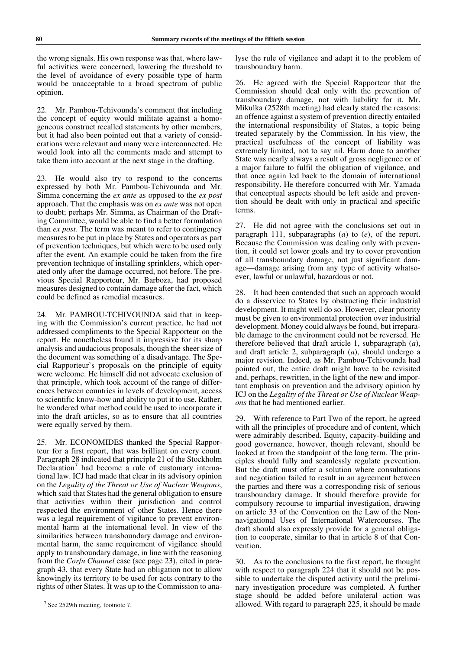the wrong signals. His own response was that, where lawful activities were concerned, lowering the threshold to the level of avoidance of every possible type of harm would be unacceptable to a broad spectrum of public opinion.

22. Mr. Pambou-Tchivounda's comment that including the concept of equity would militate against a homogeneous construct recalled statements by other members, but it had also been pointed out that a variety of considerations were relevant and many were interconnected. He would look into all the comments made and attempt to take them into account at the next stage in the drafting.

23. He would also try to respond to the concerns expressed by both Mr. Pambou-Tchivounda and Mr. Simma concerning the *ex ante* as opposed to the *ex post* approach. That the emphasis was on *ex ante* was not open to doubt; perhaps Mr. Simma, as Chairman of the Drafting Committee, would be able to find a better formulation than *ex post*. The term was meant to refer to contingency measures to be put in place by States and operators as part of prevention techniques, but which were to be used only after the event. An example could be taken from the fire prevention technique of installing sprinklers, which operated only after the damage occurred, not before. The previous Special Rapporteur, Mr. Barboza, had proposed measures designed to contain damage after the fact, which could be defined as remedial measures.

24. Mr. PAMBOU-TCHIVOUNDA said that in keeping with the Commission's current practice, he had not addressed compliments to the Special Rapporteur on the report. He nonetheless found it impressive for its sharp analysis and audacious proposals, though the sheer size of the document was something of a disadvantage. The Special Rapporteur's proposals on the principle of equity were welcome. He himself did not advocate exclusion of that principle, which took account of the range of differences between countries in levels of development, access to scientific know-how and ability to put it to use. Rather, he wondered what method could be used to incorporate it into the draft articles, so as to ensure that all countries were equally served by them.

25. Mr. ECONOMIDES thanked the Special Rapporteur for a first report, that was brilliant on every count. Paragraph 28 indicated that principle 21 of the Stockholm Declaration<sup>7</sup> had become a rule of customary international law. ICJ had made that clear in its advisory opinion on the *Legality of the Threat or Use of Nuclear Weapons*, which said that States had the general obligation to ensure that activities within their jurisdiction and control respected the environment of other States. Hence there was a legal requirement of vigilance to prevent environmental harm at the international level. In view of the similarities between transboundary damage and environmental harm, the same requirement of vigilance should apply to transboundary damage, in line with the reasoning from the *Corfu Channel* case (see page 23), cited in paragraph 43, that every State had an obligation not to allow knowingly its territory to be used for acts contrary to the rights of other States. It was up to the Commission to analyse the rule of vigilance and adapt it to the problem of transboundary harm.

26. He agreed with the Special Rapporteur that the Commission should deal only with the prevention of transboundary damage, not with liability for it. Mr. Mikulka (2528th meeting) had clearly stated the reasons: an offence against a system of prevention directly entailed the international responsibility of States, a topic being treated separately by the Commission. In his view, the practical usefulness of the concept of liability was extremely limited, not to say nil. Harm done to another State was nearly always a result of gross negligence or of a major failure to fulfil the obligation of vigilance, and that once again led back to the domain of international responsibility. He therefore concurred with Mr. Yamada that conceptual aspects should be left aside and prevention should be dealt with only in practical and specific terms.

27. He did not agree with the conclusions set out in paragraph 111, subparagraphs (*a*) to (*e*), of the report. Because the Commission was dealing only with prevention, it could set lower goals and try to cover prevention of all transboundary damage, not just significant damage—damage arising from any type of activity whatsoever, lawful or unlawful, hazardous or not.

28. It had been contended that such an approach would do a disservice to States by obstructing their industrial development. It might well do so. However, clear priority must be given to environmental protection over industrial development. Money could always be found, but irreparable damage to the environment could not be reversed. He therefore believed that draft article 1, subparagraph (*a*), and draft article 2, subparagraph (*a*), should undergo a major revision. Indeed, as Mr. Pambou-Tchivounda had pointed out, the entire draft might have to be revisited and, perhaps, rewritten, in the light of the new and important emphasis on prevention and the advisory opinion by ICJ on the *Legality of the Threat or Use of Nuclear Weapons* that he had mentioned earlier.

29. With reference to Part Two of the report, he agreed with all the principles of procedure and of content, which were admirably described. Equity, capacity-building and good governance, however, though relevant, should be looked at from the standpoint of the long term. The principles should fully and seamlessly regulate prevention. But the draft must offer a solution where consultations and negotiation failed to result in an agreement between the parties and there was a corresponding risk of serious transboundary damage. It should therefore provide for compulsory recourse to impartial investigation, drawing on article 33 of the Convention on the Law of the Nonnavigational Uses of International Watercourses. The draft should also expressly provide for a general obligation to cooperate, similar to that in article 8 of that Convention.

30. As to the conclusions to the first report, he thought with respect to paragraph 224 that it should not be possible to undertake the disputed activity until the preliminary investigation procedure was completed. A further stage should be added before unilateral action was allowed. With regard to paragraph 225, it should be made

<sup>&</sup>lt;sup>7</sup> See 2529th meeting, footnote 7.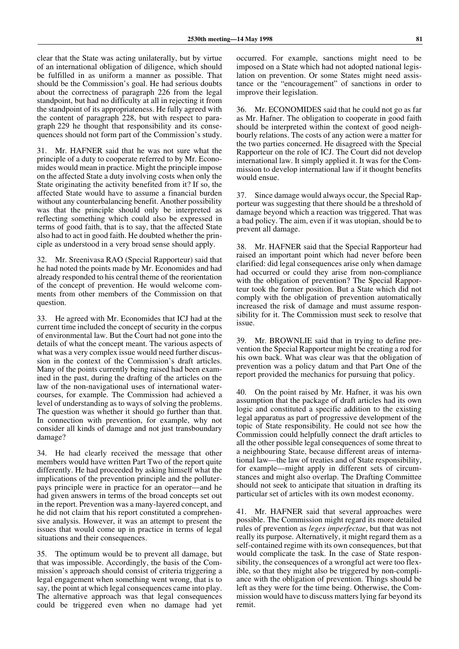clear that the State was acting unilaterally, but by virtue of an international obligation of diligence, which should be fulfilled in as uniform a manner as possible. That should be the Commission's goal. He had serious doubts about the correctness of paragraph 226 from the legal standpoint, but had no difficulty at all in rejecting it from the standpoint of its appropriateness. He fully agreed with the content of paragraph 228, but with respect to paragraph 229 he thought that responsibility and its consequences should not form part of the Commission's study.

31. Mr. HAFNER said that he was not sure what the principle of a duty to cooperate referred to by Mr. Economides would mean in practice. Might the principle impose on the affected State a duty involving costs when only the State originating the activity benefited from it? If so, the affected State would have to assume a financial burden without any counterbalancing benefit. Another possibility was that the principle should only be interpreted as reflecting something which could also be expressed in terms of good faith, that is to say, that the affected State also had to act in good faith. He doubted whether the principle as understood in a very broad sense should apply.

32. Mr. Sreenivasa RAO (Special Rapporteur) said that he had noted the points made by Mr. Economides and had already responded to his central theme of the reorientation of the concept of prevention. He would welcome comments from other members of the Commission on that question.

33. He agreed with Mr. Economides that ICJ had at the current time included the concept of security in the corpus of environmental law. But the Court had not gone into the details of what the concept meant. The various aspects of what was a very complex issue would need further discussion in the context of the Commission's draft articles. Many of the points currently being raised had been examined in the past, during the drafting of the articles on the law of the non-navigational uses of international watercourses, for example. The Commission had achieved a level of understanding as to ways of solving the problems. The question was whether it should go further than that. In connection with prevention, for example, why not consider all kinds of damage and not just transboundary damage?

34. He had clearly received the message that other members would have written Part Two of the report quite differently. He had proceeded by asking himself what the implications of the prevention principle and the polluterpays principle were in practice for an operator—and he had given answers in terms of the broad concepts set out in the report. Prevention was a many-layered concept, and he did not claim that his report constituted a comprehensive analysis. However, it was an attempt to present the issues that would come up in practice in terms of legal situations and their consequences.

35. The optimum would be to prevent all damage, but that was impossible. Accordingly, the basis of the Commission's approach should consist of criteria triggering a legal engagement when something went wrong, that is to say, the point at which legal consequences came into play. The alternative approach was that legal consequences could be triggered even when no damage had yet

occurred. For example, sanctions might need to be imposed on a State which had not adopted national legislation on prevention. Or some States might need assistance or the "encouragement" of sanctions in order to improve their legislation.

36. Mr. ECONOMIDES said that he could not go as far as Mr. Hafner. The obligation to cooperate in good faith should be interpreted within the context of good neighbourly relations. The costs of any action were a matter for the two parties concerned. He disagreed with the Special Rapporteur on the role of ICJ. The Court did not develop international law. It simply applied it. It was for the Commission to develop international law if it thought benefits would ensue.

37. Since damage would always occur, the Special Rapporteur was suggesting that there should be a threshold of damage beyond which a reaction was triggered. That was a bad policy. The aim, even if it was utopian, should be to prevent all damage.

38. Mr. HAFNER said that the Special Rapporteur had raised an important point which had never before been clarified: did legal consequences arise only when damage had occurred or could they arise from non-compliance with the obligation of prevention? The Special Rapporteur took the former position. But a State which did not comply with the obligation of prevention automatically increased the risk of damage and must assume responsibility for it. The Commission must seek to resolve that issue.

39. Mr. BROWNLIE said that in trying to define prevention the Special Rapporteur might be creating a rod for his own back. What was clear was that the obligation of prevention was a policy datum and that Part One of the report provided the mechanics for pursuing that policy.

40. On the point raised by Mr. Hafner, it was his own assumption that the package of draft articles had its own logic and constituted a specific addition to the existing legal apparatus as part of progressive development of the topic of State responsibility. He could not see how the Commission could helpfully connect the draft articles to all the other possible legal consequences of some threat to a neighbouring State, because different areas of international law—the law of treaties and of State responsibility, for example—might apply in different sets of circumstances and might also overlap. The Drafting Committee should not seek to anticipate that situation in drafting its particular set of articles with its own modest economy.

41. Mr. HAFNER said that several approaches were possible. The Commission might regard its more detailed rules of prevention as *leges imperfectae*, but that was not really its purpose. Alternatively, it might regard them as a self-contained regime with its own consequences, but that would complicate the task. In the case of State responsibility, the consequences of a wrongful act were too flexible, so that they might also be triggered by non-compliance with the obligation of prevention. Things should be left as they were for the time being. Otherwise, the Commission would have to discuss matters lying far beyond its remit.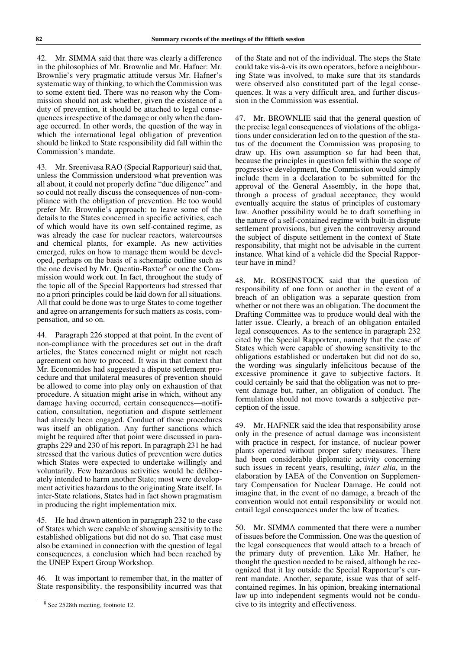42. Mr. SIMMA said that there was clearly a difference in the philosophies of Mr. Brownlie and Mr. Hafner: Mr. Brownlie's very pragmatic attitude versus Mr. Hafner's systematic way of thinking, to which the Commission was to some extent tied. There was no reason why the Commission should not ask whether, given the existence of a duty of prevention, it should be attached to legal consequences irrespective of the damage or only when the damage occurred. In other words, the question of the way in which the international legal obligation of prevention should be linked to State responsibility did fall within the Commission's mandate.

43. Mr. Sreenivasa RAO (Special Rapporteur) said that, unless the Commission understood what prevention was all about, it could not properly define "due diligence" and so could not really discuss the consequences of non-compliance with the obligation of prevention. He too would prefer Mr. Brownlie's approach: to leave some of the details to the States concerned in specific activities, each of which would have its own self-contained regime, as was already the case for nuclear reactors, watercourses and chemical plants, for example. As new activities emerged, rules on how to manage them would be developed, perhaps on the basis of a schematic outline such as the one devised by Mr. Quentin-Baxter $8$  or one the Commission would work out. In fact, throughout the study of the topic all of the Special Rapporteurs had stressed that no a priori principles could be laid down for all situations. All that could be done was to urge States to come together and agree on arrangements for such matters as costs, compensation, and so on.

44. Paragraph 226 stopped at that point. In the event of non-compliance with the procedures set out in the draft articles, the States concerned might or might not reach agreement on how to proceed. It was in that context that Mr. Economides had suggested a dispute settlement procedure and that unilateral measures of prevention should be allowed to come into play only on exhaustion of that procedure. A situation might arise in which, without any damage having occurred, certain consequences—notification, consultation, negotiation and dispute settlement had already been engaged. Conduct of those procedures was itself an obligation. Any further sanctions which might be required after that point were discussed in paragraphs 229 and 230 of his report. In paragraph 231 he had stressed that the various duties of prevention were duties which States were expected to undertake willingly and voluntarily. Few hazardous activities would be deliberately intended to harm another State; most were development activities hazardous to the originating State itself. In inter-State relations, States had in fact shown pragmatism in producing the right implementation mix.

45. He had drawn attention in paragraph 232 to the case of States which were capable of showing sensitivity to the established obligations but did not do so. That case must also be examined in connection with the question of legal consequences, a conclusion which had been reached by the UNEP Expert Group Workshop.

46. It was important to remember that, in the matter of State responsibility, the responsibility incurred was that

of the State and not of the individual. The steps the State could take vis-à-vis its own operators, before a neighbouring State was involved, to make sure that its standards were observed also constituted part of the legal consequences. It was a very difficult area, and further discussion in the Commission was essential.

47. Mr. BROWNLIE said that the general question of the precise legal consequences of violations of the obligations under consideration led on to the question of the status of the document the Commission was proposing to draw up. His own assumption so far had been that, because the principles in question fell within the scope of progressive development, the Commission would simply include them in a declaration to be submitted for the approval of the General Assembly, in the hope that, through a process of gradual acceptance, they would eventually acquire the status of principles of customary law. Another possibility would be to draft something in the nature of a self-contained regime with built-in dispute settlement provisions, but given the controversy around the subject of dispute settlement in the context of State responsibility, that might not be advisable in the current instance. What kind of a vehicle did the Special Rapporteur have in mind?

48. Mr. ROSENSTOCK said that the question of responsibility of one form or another in the event of a breach of an obligation was a separate question from whether or not there was an obligation. The document the Drafting Committee was to produce would deal with the latter issue. Clearly, a breach of an obligation entailed legal consequences. As to the sentence in paragraph 232 cited by the Special Rapporteur, namely that the case of States which were capable of showing sensitivity to the obligations established or undertaken but did not do so, the wording was singularly infelicitous because of the excessive prominence it gave to subjective factors. It could certainly be said that the obligation was not to prevent damage but, rather, an obligation of conduct. The formulation should not move towards a subjective perception of the issue.

49. Mr. HAFNER said the idea that responsibility arose only in the presence of actual damage was inconsistent with practice in respect, for instance, of nuclear power plants operated without proper safety measures. There had been considerable diplomatic activity concerning such issues in recent years, resulting, *inter alia*, in the elaboration by IAEA of the Convention on Supplementary Compensation for Nuclear Damage. He could not imagine that, in the event of no damage, a breach of the convention would not entail responsibility or would not entail legal consequences under the law of treaties.

50. Mr. SIMMA commented that there were a number of issues before the Commission. One was the question of the legal consequences that would attach to a breach of the primary duty of prevention. Like Mr. Hafner, he thought the question needed to be raised, although he recognized that it lay outside the Special Rapporteur's current mandate. Another, separate, issue was that of selfcontained regimes. In his opinion, breaking international law up into independent segments would not be conducive to its integrity and effectiveness.

<sup>8</sup> See 2528th meeting, footnote 12.